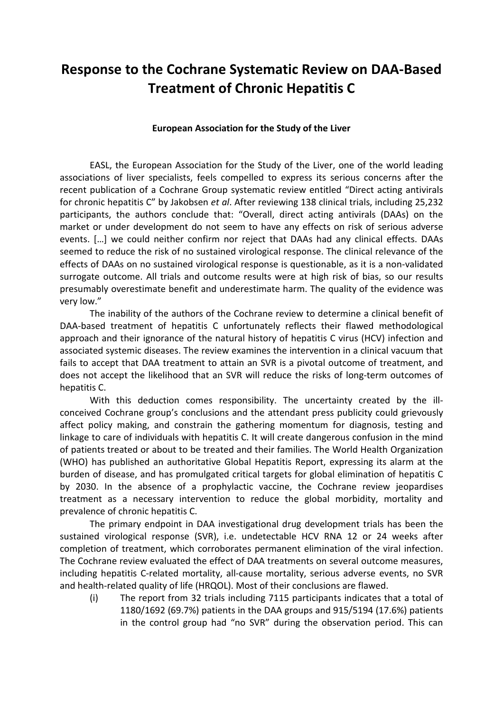## **Response to the Cochrane Systematic Review on DAA-Based Treatment of Chronic Hepatitis C**

## **European Association for the Study of the Liver**

EASL, the European Association for the Study of the Liver, one of the world leading associations of liver specialists, feels compelled to express its serious concerns after the recent publication of a Cochrane Group systematic review entitled "Direct acting antivirals for chronic hepatitis C" by Jakobsen *et al*. After reviewing 138 clinical trials, including 25,232 participants, the authors conclude that: "Overall, direct acting antivirals (DAAs) on the market or under development do not seem to have any effects on risk of serious adverse events. […] we could neither confirm nor reject that DAAs had any clinical effects. DAAs seemed to reduce the risk of no sustained virological response. The clinical relevance of the effects of DAAs on no sustained virological response is questionable, as it is a non-validated surrogate outcome. All trials and outcome results were at high risk of bias, so our results presumably overestimate benefit and underestimate harm. The quality of the evidence was very low."

The inability of the authors of the Cochrane review to determine a clinical benefit of DAA-based treatment of hepatitis C unfortunately reflects their flawed methodological approach and their ignorance of the natural history of hepatitis C virus (HCV) infection and associated systemic diseases. The review examines the intervention in a clinical vacuum that fails to accept that DAA treatment to attain an SVR is a pivotal outcome of treatment, and does not accept the likelihood that an SVR will reduce the risks of long-term outcomes of hepatitis C.

With this deduction comes responsibility. The uncertainty created by the illconceived Cochrane group's conclusions and the attendant press publicity could grievously affect policy making, and constrain the gathering momentum for diagnosis, testing and linkage to care of individuals with hepatitis C. It will create dangerous confusion in the mind of patients treated or about to be treated and their families. The World Health Organization (WHO) has published an authoritative Global Hepatitis Report, expressing its alarm at the burden of disease, and has promulgated critical targets for global elimination of hepatitis C by 2030. In the absence of a prophylactic vaccine, the Cochrane review jeopardises treatment as a necessary intervention to reduce the global morbidity, mortality and prevalence of chronic hepatitis C.

The primary endpoint in DAA investigational drug development trials has been the sustained virological response (SVR), i.e. undetectable HCV RNA 12 or 24 weeks after completion of treatment, which corroborates permanent elimination of the viral infection. The Cochrane review evaluated the effect of DAA treatments on several outcome measures, including hepatitis C-related mortality, all-cause mortality, serious adverse events, no SVR and health-related quality of life (HRQOL). Most of their conclusions are flawed.

(i) The report from 32 trials including 7115 participants indicates that a total of 1180/1692 (69.7%) patients in the DAA groups and 915/5194 (17.6%) patients in the control group had "no SVR" during the observation period. This can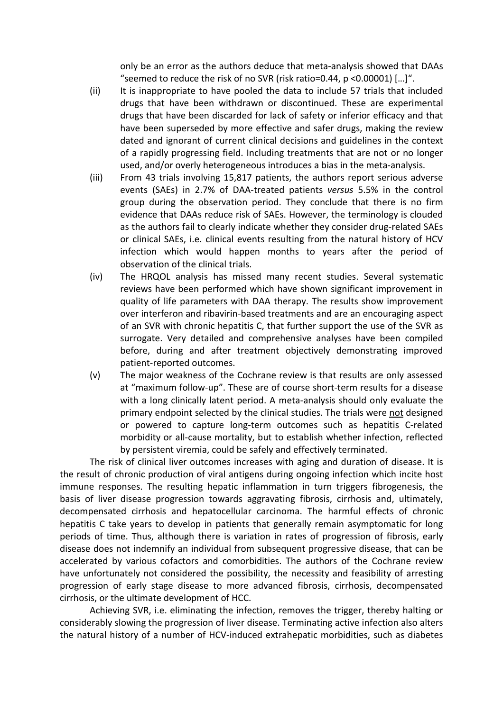only be an error as the authors deduce that meta-analysis showed that DAAs "seemed to reduce the risk of no SVR (risk ratio=0.44, p <0.00001) […]".

- (ii) It is inappropriate to have pooled the data to include 57 trials that included drugs that have been withdrawn or discontinued. These are experimental drugs that have been discarded for lack of safety or inferior efficacy and that have been superseded by more effective and safer drugs, making the review dated and ignorant of current clinical decisions and guidelines in the context of a rapidly progressing field. Including treatments that are not or no longer used, and/or overly heterogeneous introduces a bias in the meta-analysis.
- (iii) From 43 trials involving 15,817 patients, the authors report serious adverse events (SAEs) in 2.7% of DAA-treated patients *versus* 5.5% in the control group during the observation period. They conclude that there is no firm evidence that DAAs reduce risk of SAEs. However, the terminology is clouded as the authors fail to clearly indicate whether they consider drug-related SAEs or clinical SAEs, i.e. clinical events resulting from the natural history of HCV infection which would happen months to years after the period of observation of the clinical trials.
- (iv) The HRQOL analysis has missed many recent studies. Several systematic reviews have been performed which have shown significant improvement in quality of life parameters with DAA therapy. The results show improvement over interferon and ribavirin-based treatments and are an encouraging aspect of an SVR with chronic hepatitis C, that further support the use of the SVR as surrogate. Very detailed and comprehensive analyses have been compiled before, during and after treatment objectively demonstrating improved patient-reported outcomes.
- (v) The major weakness of the Cochrane review is that results are only assessed at "maximum follow-up". These are of course short-term results for a disease with a long clinically latent period. A meta-analysis should only evaluate the primary endpoint selected by the clinical studies. The trials were not designed or powered to capture long-term outcomes such as hepatitis C-related morbidity or all-cause mortality, but to establish whether infection, reflected by persistent viremia, could be safely and effectively terminated.

The risk of clinical liver outcomes increases with aging and duration of disease. It is the result of chronic production of viral antigens during ongoing infection which incite host immune responses. The resulting hepatic inflammation in turn triggers fibrogenesis, the basis of liver disease progression towards aggravating fibrosis, cirrhosis and, ultimately, decompensated cirrhosis and hepatocellular carcinoma. The harmful effects of chronic hepatitis C take years to develop in patients that generally remain asymptomatic for long periods of time. Thus, although there is variation in rates of progression of fibrosis, early disease does not indemnify an individual from subsequent progressive disease, that can be accelerated by various cofactors and comorbidities. The authors of the Cochrane review have unfortunately not considered the possibility, the necessity and feasibility of arresting progression of early stage disease to more advanced fibrosis, cirrhosis, decompensated cirrhosis, or the ultimate development of HCC.

Achieving SVR, i.e. eliminating the infection, removes the trigger, thereby halting or considerably slowing the progression of liver disease. Terminating active infection also alters the natural history of a number of HCV-induced extrahepatic morbidities, such as diabetes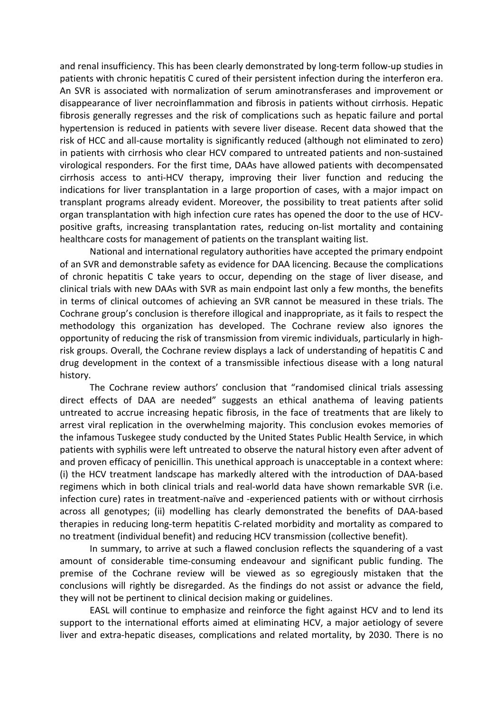and renal insufficiency. This has been clearly demonstrated by long-term follow-up studies in patients with chronic hepatitis C cured of their persistent infection during the interferon era. An SVR is associated with normalization of serum aminotransferases and improvement or disappearance of liver necroinflammation and fibrosis in patients without cirrhosis. Hepatic fibrosis generally regresses and the risk of complications such as hepatic failure and portal hypertension is reduced in patients with severe liver disease. Recent data showed that the risk of HCC and all-cause mortality is significantly reduced (although not eliminated to zero) in patients with cirrhosis who clear HCV compared to untreated patients and non-sustained virological responders. For the first time, DAAs have allowed patients with decompensated cirrhosis access to anti-HCV therapy, improving their liver function and reducing the indications for liver transplantation in a large proportion of cases, with a major impact on transplant programs already evident. Moreover, the possibility to treat patients after solid organ transplantation with high infection cure rates has opened the door to the use of HCVpositive grafts, increasing transplantation rates, reducing on-list mortality and containing healthcare costs for management of patients on the transplant waiting list.

National and international regulatory authorities have accepted the primary endpoint of an SVR and demonstrable safety as evidence for DAA licencing. Because the complications of chronic hepatitis C take years to occur, depending on the stage of liver disease, and clinical trials with new DAAs with SVR as main endpoint last only a few months, the benefits in terms of clinical outcomes of achieving an SVR cannot be measured in these trials. The Cochrane group's conclusion is therefore illogical and inappropriate, as it fails to respect the methodology this organization has developed. The Cochrane review also ignores the opportunity of reducing the risk of transmission from viremic individuals, particularly in highrisk groups. Overall, the Cochrane review displays a lack of understanding of hepatitis C and drug development in the context of a transmissible infectious disease with a long natural history.

The Cochrane review authors' conclusion that "randomised clinical trials assessing direct effects of DAA are needed" suggests an ethical anathema of leaving patients untreated to accrue increasing hepatic fibrosis, in the face of treatments that are likely to arrest viral replication in the overwhelming majority. This conclusion evokes memories of the infamous Tuskegee study conducted by the United States Public Health Service, in which patients with syphilis were left untreated to observe the natural history even after advent of and proven efficacy of penicillin. This unethical approach is unacceptable in a context where: (i) the HCV treatment landscape has markedly altered with the introduction of DAA-based regimens which in both clinical trials and real-world data have shown remarkable SVR (i.e. infection cure) rates in treatment-naïve and -experienced patients with or without cirrhosis across all genotypes; (ii) modelling has clearly demonstrated the benefits of DAA-based therapies in reducing long-term hepatitis C-related morbidity and mortality as compared to no treatment (individual benefit) and reducing HCV transmission (collective benefit).

In summary, to arrive at such a flawed conclusion reflects the squandering of a vast amount of considerable time-consuming endeavour and significant public funding. The premise of the Cochrane review will be viewed as so egregiously mistaken that the conclusions will rightly be disregarded. As the findings do not assist or advance the field, they will not be pertinent to clinical decision making or guidelines.

EASL will continue to emphasize and reinforce the fight against HCV and to lend its support to the international efforts aimed at eliminating HCV, a major aetiology of severe liver and extra-hepatic diseases, complications and related mortality, by 2030. There is no